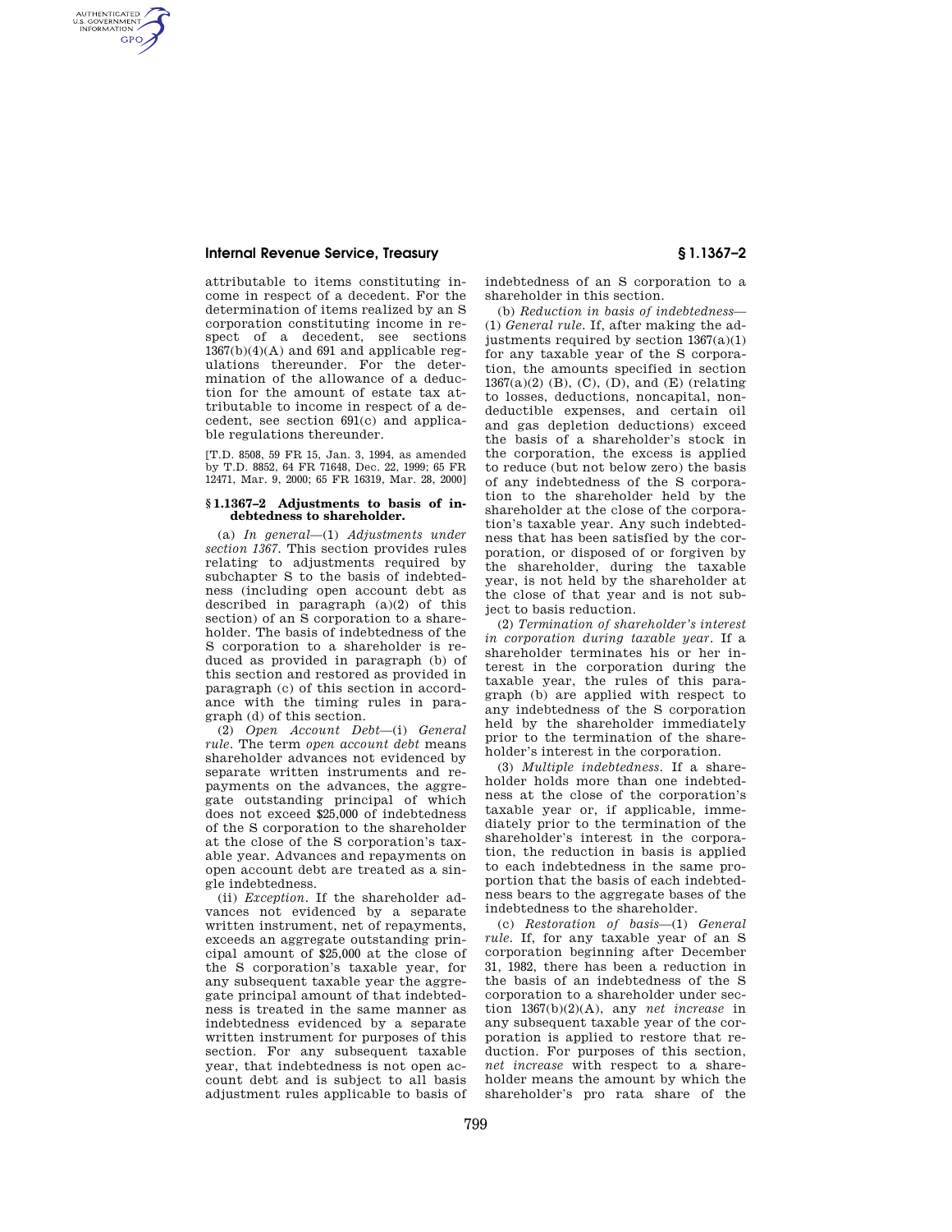## **Internal Revenue Service, Treasury § 1.1367–2**

AUTHENTICATED<br>U.S. GOVERNMENT<br>INFORMATION **GPO** 

> attributable to items constituting income in respect of a decedent. For the determination of items realized by an S corporation constituting income in respect of a decedent, see sections  $1367(b)(4)(A)$  and  $691$  and applicable regulations thereunder. For the determination of the allowance of a deduction for the amount of estate tax attributable to income in respect of a decedent, see section 691(c) and applicable regulations thereunder.

> [T.D. 8508, 59 FR 15, Jan. 3, 1994, as amended by T.D. 8852, 64 FR 71648, Dec. 22, 1999; 65 FR 12471, Mar. 9, 2000; 65 FR 16319, Mar. 28, 2000]

### **§ 1.1367–2 Adjustments to basis of indebtedness to shareholder.**

(a) *In general*—(1) *Adjustments under section 1367.* This section provides rules relating to adjustments required by subchapter S to the basis of indebtedness (including open account debt as described in paragraph (a)(2) of this section) of an S corporation to a shareholder. The basis of indebtedness of the S corporation to a shareholder is reduced as provided in paragraph (b) of this section and restored as provided in paragraph (c) of this section in accordance with the timing rules in paragraph (d) of this section.

(2) *Open Account Debt*—(i) *General rule.* The term *open account debt* means shareholder advances not evidenced by separate written instruments and repayments on the advances, the aggregate outstanding principal of which does not exceed \$25,000 of indebtedness of the S corporation to the shareholder at the close of the S corporation's taxable year. Advances and repayments on open account debt are treated as a single indebtedness.

(ii) *Exception.* If the shareholder advances not evidenced by a separate written instrument, net of repayments, exceeds an aggregate outstanding principal amount of \$25,000 at the close of the S corporation's taxable year, for any subsequent taxable year the aggregate principal amount of that indebtedness is treated in the same manner as indebtedness evidenced by a separate written instrument for purposes of this section. For any subsequent taxable year, that indebtedness is not open account debt and is subject to all basis adjustment rules applicable to basis of

indebtedness of an S corporation to a shareholder in this section.

(b) *Reduction in basis of indebtedness*— (1) *General rule.* If, after making the adjustments required by section 1367(a)(1) for any taxable year of the S corporation, the amounts specified in section  $1367(a)(2)$  (B), (C), (D), and (E) (relating to losses, deductions, noncapital, nondeductible expenses, and certain oil and gas depletion deductions) exceed the basis of a shareholder's stock in the corporation, the excess is applied to reduce (but not below zero) the basis of any indebtedness of the S corporation to the shareholder held by the shareholder at the close of the corporation's taxable year. Any such indebtedness that has been satisfied by the corporation, or disposed of or forgiven by the shareholder, during the taxable year, is not held by the shareholder at the close of that year and is not subject to basis reduction.

(2) *Termination of shareholder's interest in corporation during taxable year.* If a shareholder terminates his or her interest in the corporation during the taxable year, the rules of this paragraph (b) are applied with respect to any indebtedness of the S corporation held by the shareholder immediately prior to the termination of the shareholder's interest in the corporation.

(3) *Multiple indebtedness.* If a shareholder holds more than one indebtedness at the close of the corporation's taxable year or, if applicable, immediately prior to the termination of the shareholder's interest in the corporation, the reduction in basis is applied to each indebtedness in the same proportion that the basis of each indebtedness bears to the aggregate bases of the indebtedness to the shareholder.

(c) *Restoration of basis*—(1) *General rule.* If, for any taxable year of an S corporation beginning after December 31, 1982, there has been a reduction in the basis of an indebtedness of the S corporation to a shareholder under section 1367(b)(2)(A), any *net increase* in any subsequent taxable year of the corporation is applied to restore that reduction. For purposes of this section, *net increase* with respect to a shareholder means the amount by which the shareholder's pro rata share of the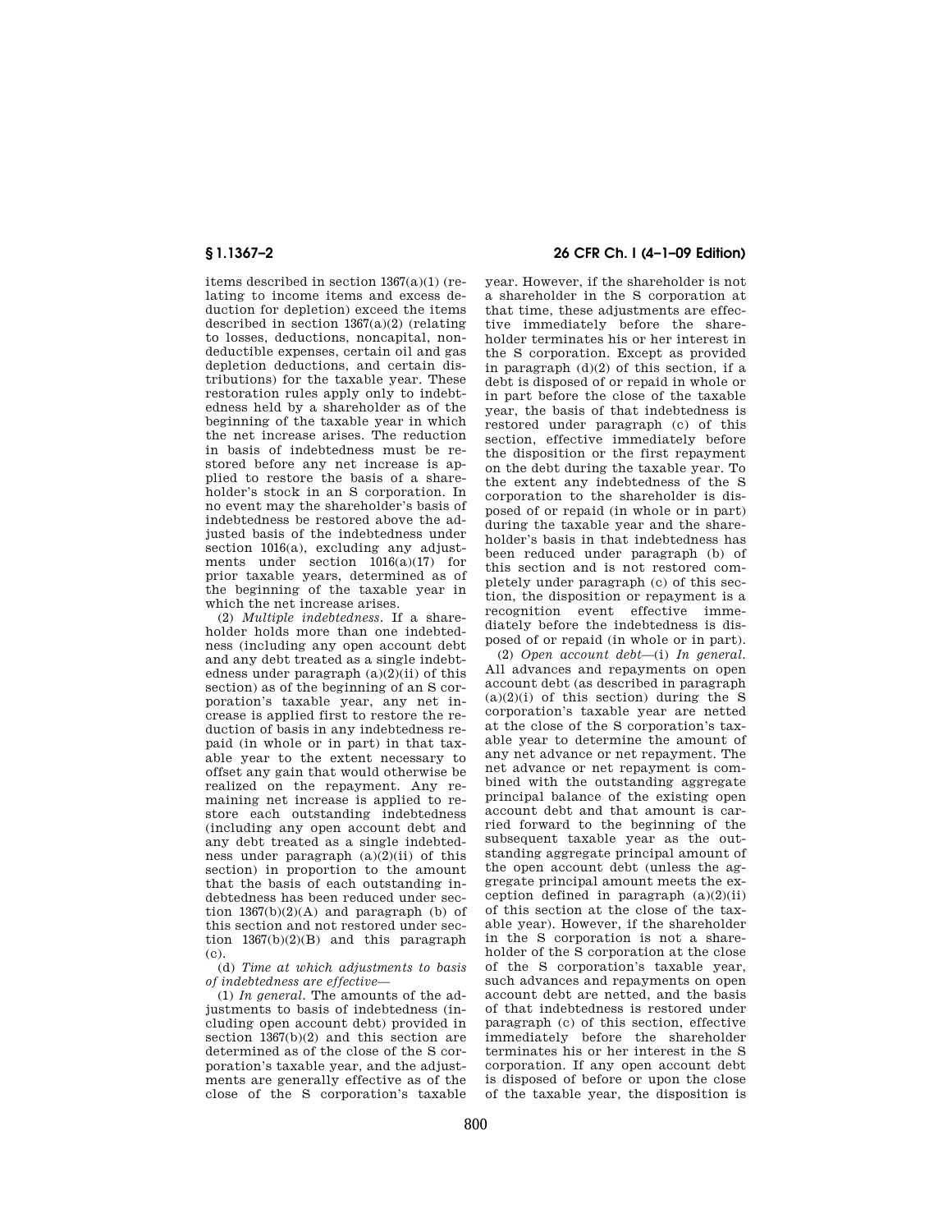items described in section 1367(a)(1) (relating to income items and excess deduction for depletion) exceed the items described in section 1367(a)(2) (relating to losses, deductions, noncapital, nondeductible expenses, certain oil and gas depletion deductions, and certain distributions) for the taxable year. These restoration rules apply only to indebtedness held by a shareholder as of the beginning of the taxable year in which the net increase arises. The reduction in basis of indebtedness must be restored before any net increase is applied to restore the basis of a shareholder's stock in an S corporation. In no event may the shareholder's basis of indebtedness be restored above the adjusted basis of the indebtedness under section 1016(a), excluding any adjustments under section  $1016(a)(17)$  for prior taxable years, determined as of the beginning of the taxable year in which the net increase arises.

(2) *Multiple indebtedness.* If a shareholder holds more than one indebtedness (including any open account debt and any debt treated as a single indebtedness under paragraph  $(a)(2)(ii)$  of this section) as of the beginning of an S corporation's taxable year, any net increase is applied first to restore the reduction of basis in any indebtedness repaid (in whole or in part) in that taxable year to the extent necessary to offset any gain that would otherwise be realized on the repayment. Any remaining net increase is applied to restore each outstanding indebtedness (including any open account debt and any debt treated as a single indebtedness under paragraph  $(a)(2)(ii)$  of this section) in proportion to the amount that the basis of each outstanding indebtedness has been reduced under section  $1367(b)(2)(A)$  and paragraph (b) of this section and not restored under section  $1367(b)(2)(B)$  and this paragraph (c).

(d) *Time at which adjustments to basis of indebtedness are effective*—

(1) *In general.* The amounts of the adjustments to basis of indebtedness (including open account debt) provided in section 1367(b)(2) and this section are determined as of the close of the S corporation's taxable year, and the adjustments are generally effective as of the close of the S corporation's taxable

# **§ 1.1367–2 26 CFR Ch. I (4–1–09 Edition)**

year. However, if the shareholder is not a shareholder in the S corporation at that time, these adjustments are effective immediately before the shareholder terminates his or her interest in the S corporation. Except as provided in paragraph (d)(2) of this section, if a debt is disposed of or repaid in whole or in part before the close of the taxable year, the basis of that indebtedness is restored under paragraph (c) of this section, effective immediately before the disposition or the first repayment on the debt during the taxable year. To the extent any indebtedness of the S corporation to the shareholder is disposed of or repaid (in whole or in part) during the taxable year and the shareholder's basis in that indebtedness has been reduced under paragraph (b) of this section and is not restored completely under paragraph (c) of this section, the disposition or repayment is a recognition event effective immediately before the indebtedness is disposed of or repaid (in whole or in part).

(2) *Open account debt*—(i) *In general.*  All advances and repayments on open account debt (as described in paragraph  $(a)(2)(i)$  of this section) during the S corporation's taxable year are netted at the close of the S corporation's taxable year to determine the amount of any net advance or net repayment. The net advance or net repayment is combined with the outstanding aggregate principal balance of the existing open account debt and that amount is carried forward to the beginning of the subsequent taxable year as the outstanding aggregate principal amount of the open account debt (unless the aggregate principal amount meets the exception defined in paragraph  $(a)(2)(ii)$ of this section at the close of the taxable year). However, if the shareholder in the S corporation is not a shareholder of the S corporation at the close of the S corporation's taxable year, such advances and repayments on open account debt are netted, and the basis of that indebtedness is restored under paragraph (c) of this section, effective immediately before the shareholder terminates his or her interest in the S corporation. If any open account debt is disposed of before or upon the close of the taxable year, the disposition is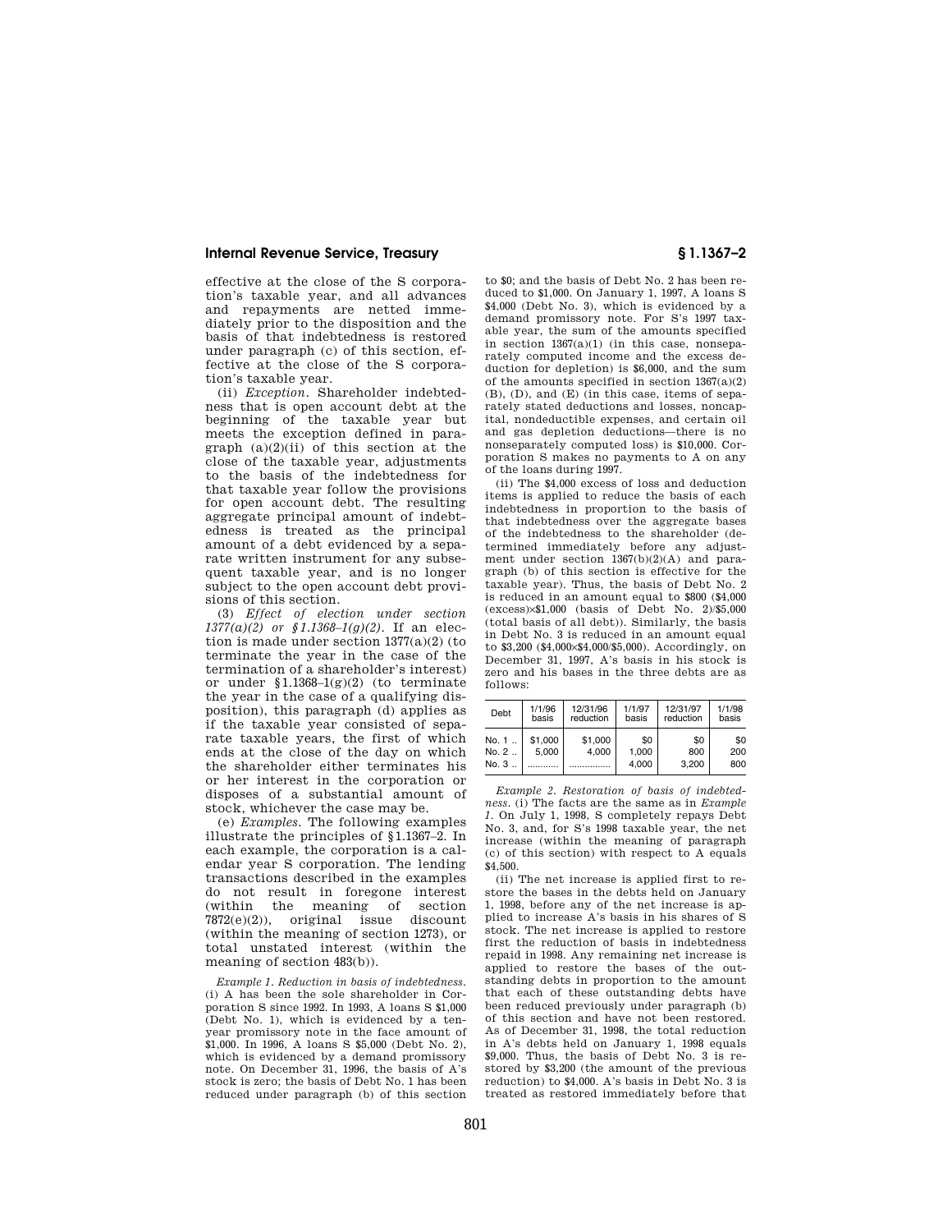### **Internal Revenue Service, Treasury § 1.1367–2**

effective at the close of the S corporation's taxable year, and all advances and repayments are netted immediately prior to the disposition and the basis of that indebtedness is restored under paragraph (c) of this section, effective at the close of the S corporation's taxable year.

(ii) *Exception.* Shareholder indebtedness that is open account debt at the beginning of the taxable year but meets the exception defined in paragraph  $(a)(2)(ii)$  of this section at the close of the taxable year, adjustments to the basis of the indebtedness for that taxable year follow the provisions for open account debt. The resulting aggregate principal amount of indebtedness is treated as the principal amount of a debt evidenced by a separate written instrument for any subsequent taxable year, and is no longer subject to the open account debt provisions of this section.

(3) *Effect of election under section 1377(a)(2) or §1.1368–1(g)(2).* If an election is made under section 1377(a)(2) (to terminate the year in the case of the termination of a shareholder's interest) or under  $$1.1368-1(g)(2)$  (to terminate the year in the case of a qualifying disposition), this paragraph (d) applies as if the taxable year consisted of separate taxable years, the first of which ends at the close of the day on which the shareholder either terminates his or her interest in the corporation or disposes of a substantial amount of stock, whichever the case may be.

(e) *Examples.* The following examples illustrate the principles of §1.1367–2. In each example, the corporation is a calendar year S corporation. The lending transactions described in the examples do not result in foregone interest (within the meaning of section 7872(e)(2)), original issue discount (within the meaning of section 1273), or total unstated interest (within the meaning of section 483(b)).

*Example 1. Reduction in basis of indebtedness.*  (i) A has been the sole shareholder in Corporation S since 1992. In 1993, A loans S \$1,000 (Debt No. 1), which is evidenced by a tenyear promissory note in the face amount of \$1,000. In 1996, A loans S \$5,000 (Debt No. 2), which is evidenced by a demand promissory note. On December 31, 1996, the basis of A's stock is zero; the basis of Debt No. 1 has been reduced under paragraph (b) of this section

to \$0; and the basis of Debt No. 2 has been reduced to \$1,000. On January 1, 1997, A loans S \$4,000 (Debt No. 3), which is evidenced by a demand promissory note. For S's 1997 taxable year, the sum of the amounts specified in section 1367(a)(1) (in this case, nonseparately computed income and the excess deduction for depletion) is \$6,000, and the sum of the amounts specified in section  $1367(a)(2)$ (B), (D), and (E) (in this case, items of separately stated deductions and losses, noncapital, nondeductible expenses, and certain oil and gas depletion deductions—there is no nonseparately computed loss) is \$10,000. Corporation S makes no payments to A on any of the loans during 1997.

(ii) The \$4,000 excess of loss and deduction items is applied to reduce the basis of each indebtedness in proportion to the basis of that indebtedness over the aggregate bases of the indebtedness to the shareholder (determined immediately before any adjustment under section 1367(b)(2)(A) and paragraph (b) of this section is effective for the taxable year). Thus, the basis of Debt No. 2 is reduced in an amount equal to \$800 (\$4,000 (excess)×\$1,000 (basis of Debt No. 2)/\$5,000 (total basis of all debt)). Similarly, the basis in Debt No. 3 is reduced in an amount equal to \$3,200 (\$4,000×\$4,000/\$5,000). Accordingly, on December 31, 1997, A's basis in his stock is zero and his bases in the three debts are as follows:

| Debt  | 1/1/96<br>basis | 12/31/96<br>reduction | 1/1/97<br>basis | 12/31/97<br>reduction | 1/1/98<br>basis |
|-------|-----------------|-----------------------|-----------------|-----------------------|-----------------|
| No. 1 | \$1,000         | \$1,000               | \$0             | \$0                   | \$0             |
| No. 2 | 5.000           | 4.000                 | 1.000           | 800                   | 200             |
| No. 3 |                 |                       | 4.000           | 3.200                 | 800             |

*Example 2. Restoration of basis of indebtedness.* (i) The facts are the same as in *Example 1.* On July 1, 1998, S completely repays Debt No. 3, and, for S's 1998 taxable year, the net increase (within the meaning of paragraph (c) of this section) with respect to A equals \$4,500.

(ii) The net increase is applied first to restore the bases in the debts held on January 1, 1998, before any of the net increase is applied to increase A's basis in his shares of S stock. The net increase is applied to restore first the reduction of basis in indebtedness repaid in 1998. Any remaining net increase is applied to restore the bases of the outstanding debts in proportion to the amount that each of these outstanding debts have been reduced previously under paragraph (b) of this section and have not been restored. As of December 31, 1998, the total reduction in A's debts held on January 1, 1998 equals \$9,000. Thus, the basis of Debt No. 3 is restored by \$3,200 (the amount of the previous reduction) to \$4,000. A's basis in Debt No. 3 is treated as restored immediately before that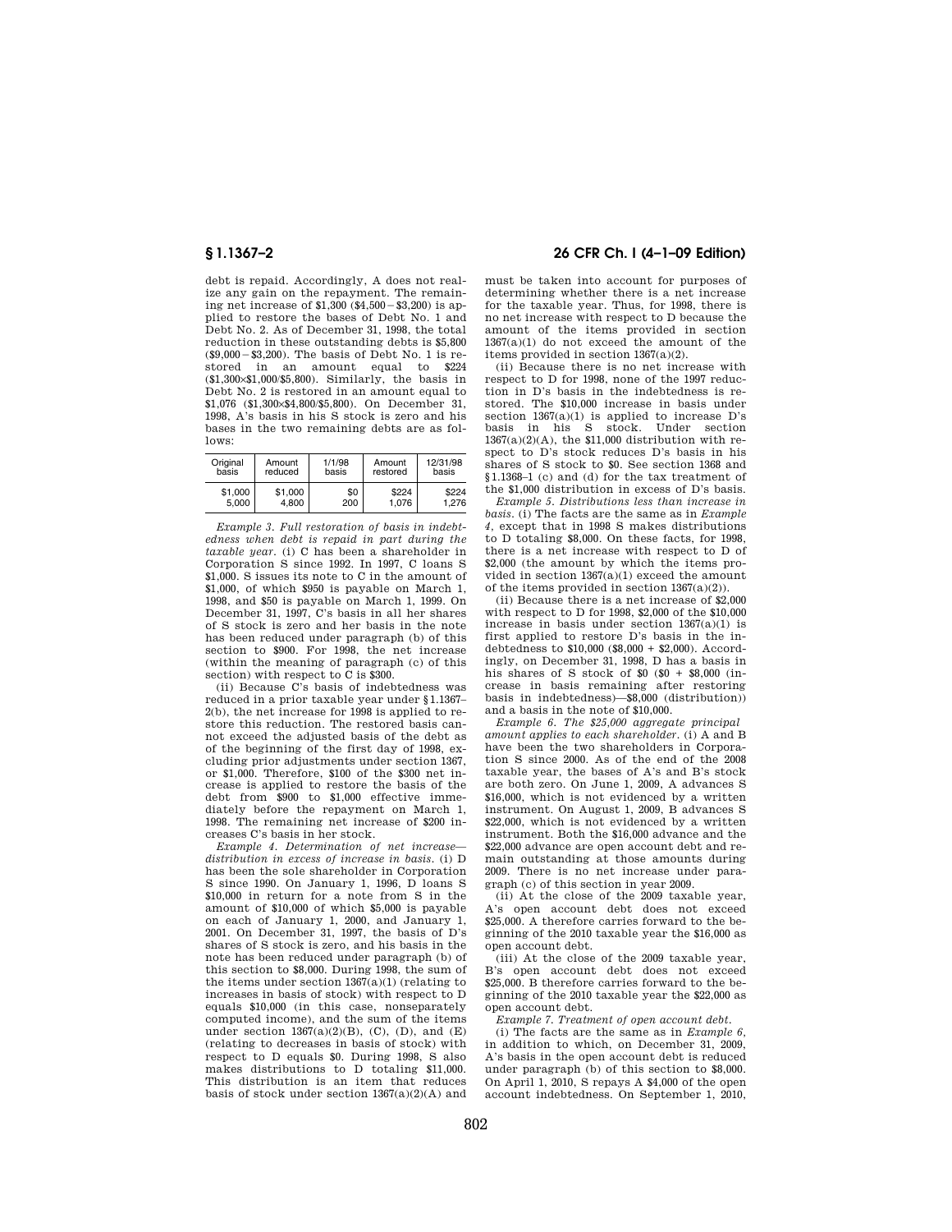debt is repaid. Accordingly, A does not realize any gain on the repayment. The remaining net increase of  $$1,300$   $($  $$4,500 - $3,200)$  is applied to restore the bases of Debt No. 1 and Debt No. 2. As of December 31, 1998, the total reduction in these outstanding debts is \$5,800  $(\$9.000 - \$3.200)$ . The basis of Debt No. 1 is restored in an amount equal to \$224 (\$1,300×\$1,000/\$5,800). Similarly, the basis in Debt No. 2 is restored in an amount equal to \$1,076 (\$1,300×\$4,800/\$5,800). On December 31, 1998, A's basis in his S stock is zero and his bases in the two remaining debts are as follows:

| Original | Amount  | 1/1/98 | Amount   | 12/31/98 |
|----------|---------|--------|----------|----------|
| basis    | reduced | basis  | restored | basis    |
| \$1,000  | \$1,000 | \$0    | \$224    | \$224    |
| 5.000    | 4.800   | 200    | 1.076    | 1.276    |

*Example 3. Full restoration of basis in indebtedness when debt is repaid in part during the taxable year.* (i) C has been a shareholder in Corporation S since 1992. In 1997, C loans S \$1,000. S issues its note to C in the amount of \$1,000, of which \$950 is payable on March 1, 1998, and \$50 is payable on March 1, 1999. On December 31, 1997, C's basis in all her shares of S stock is zero and her basis in the note has been reduced under paragraph (b) of this section to \$900. For 1998, the net increase (within the meaning of paragraph (c) of this section) with respect to C is \$300.

(ii) Because C's basis of indebtedness was reduced in a prior taxable year under §1.1367– 2(b), the net increase for 1998 is applied to restore this reduction. The restored basis cannot exceed the adjusted basis of the debt as of the beginning of the first day of 1998, excluding prior adjustments under section 1367, or \$1,000. Therefore, \$100 of the \$300 net increase is applied to restore the basis of the debt from \$900 to \$1,000 effective immediately before the repayment on March 1, 1998. The remaining net increase of \$200 increases C's basis in her stock.

*Example 4. Determination of net increase distribution in excess of increase in basis.* (i) D has been the sole shareholder in Corporation S since 1990. On January 1, 1996, D loans S \$10,000 in return for a note from S in the amount of \$10,000 of which \$5,000 is payable on each of January 1, 2000, and January 1, 2001. On December 31, 1997, the basis of D's shares of S stock is zero, and his basis in the note has been reduced under paragraph (b) of this section to \$8,000. During 1998, the sum of the items under section  $1367(a)(1)$  (relating to increases in basis of stock) with respect to D equals \$10,000 (in this case, nonseparately computed income), and the sum of the items under section  $1367(a)(2)(B)$ , (C), (D), and (E) (relating to decreases in basis of stock) with respect to D equals \$0. During 1998, S also makes distributions to D totaling \$11,000. This distribution is an item that reduces basis of stock under section  $1367(a)(2)(A)$  and

## **§ 1.1367–2 26 CFR Ch. I (4–1–09 Edition)**

must be taken into account for purposes of determining whether there is a net increase for the taxable year. Thus, for 1998, there is no net increase with respect to D because the amount of the items provided in section 1367(a)(1) do not exceed the amount of the items provided in section 1367(a)(2).

(ii) Because there is no net increase with respect to D for 1998, none of the 1997 reduction in D's basis in the indebtedness is restored. The \$10,000 increase in basis under section  $1367(a)(1)$  is applied to increase D's basis in his S stock. Under section  $1367(a)(2)(A)$ , the \$11,000 distribution with respect to D's stock reduces D's basis in his shares of S stock to \$0. See section 1368 and §1.1368–1 (c) and (d) for the tax treatment of the \$1,000 distribution in excess of D's basis.

*Example 5. Distributions less than increase in basis.* (i) The facts are the same as in *Example 4,* except that in 1998 S makes distributions to D totaling \$8,000. On these facts, for 1998, there is a net increase with respect to D of \$2,000 (the amount by which the items provided in section 1367(a)(1) exceed the amount of the items provided in section 1367(a)(2)).

(ii) Because there is a net increase of \$2,000 with respect to D for 1998, \$2,000 of the \$10,000 increase in basis under section 1367(a)(1) is first applied to restore D's basis in the indebtedness to \$10,000 (\$8,000 + \$2,000). Accordingly, on December 31, 1998, D has a basis in his shares of S stock of  $$0$  ( $$0 + $8,000$  (increase in basis remaining after restoring basis in indebtedness)—\$8,000 (distribution)) and a basis in the note of \$10,000.

*Example 6. The \$25,000 aggregate principal amount applies to each shareholder.* (i) A and B have been the two shareholders in Corporation S since 2000. As of the end of the 2008 taxable year, the bases of A's and B's stock are both zero. On June 1, 2009, A advances S \$16,000, which is not evidenced by a written instrument. On August 1, 2009, B advances S \$22,000, which is not evidenced by a written instrument. Both the \$16,000 advance and the \$22,000 advance are open account debt and remain outstanding at those amounts during 2009. There is no net increase under paragraph (c) of this section in year 2009.

(ii) At the close of the 2009 taxable year, A's open account debt does not exceed \$25,000. A therefore carries forward to the beginning of the 2010 taxable year the \$16,000 as open account debt.

(iii) At the close of the 2009 taxable year, B's open account debt does not exceed \$25,000. B therefore carries forward to the beginning of the 2010 taxable year the \$22,000 as open account debt.

*Example 7. Treatment of open account debt.* 

(i) The facts are the same as in *Example 6,*  in addition to which, on December 31, 2009, A's basis in the open account debt is reduced under paragraph (b) of this section to \$8,000. On April 1, 2010, S repays A \$4,000 of the open account indebtedness. On September 1, 2010,